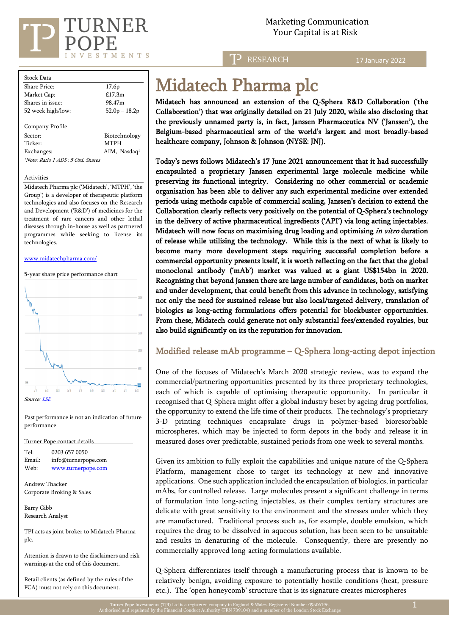

Marketing Communication Your Capital is at Risk

T<sub>2</sub> RESEARCH

17 January 2022

| <b>Stock Data</b>   |                          |  |  |  |  |  |
|---------------------|--------------------------|--|--|--|--|--|
| Share Price:        | 17.6 <sub>p</sub>        |  |  |  |  |  |
| Market Cap:         | £17.3m                   |  |  |  |  |  |
| Shares in issue:    | 98.47m                   |  |  |  |  |  |
| 52 week high/low:   | $52.0p - 18.2p$          |  |  |  |  |  |
|                     |                          |  |  |  |  |  |
| Company Profile     |                          |  |  |  |  |  |
| Sector:             | Biotechnology            |  |  |  |  |  |
| Ticker <sup>.</sup> | <b>MTPH</b>              |  |  |  |  |  |
| Exchanges:          | AIM, Nasdaq <sup>1</sup> |  |  |  |  |  |

<sup>1</sup>Note: Ratio 1 ADS : 5 Ord. Shares

#### Activities

Midatech Pharma plc ('Midatech', 'MTPH', 'the Group') is a developer of therapeutic platform technologies and also focuses on the Research and Development ('R&D') of medicines for the treatment of rare cancers and other lethal diseases through in-house as well as partnered programmes while seeking to license its technologies.

#### [www.midatechpharma.com/](http://www.midatechpharma.com/)

5-year share price performance chart



Past performance is not an indication of future performance.

Turner Pope contact details

| Tel:   | 0203 657 0050       |
|--------|---------------------|
| Email: | info@turnerpope.com |
| Web:   | www.turnerpope.com  |

Andrew Thacker Corporate Broking & Sales

Barry Gibb Research Analyst

TPI acts as joint broker to Midatech Pharma plc.

Attention is drawn to the disclaimers and risk warnings at the end of this document.

Retail clients (as defined by the rules of the FCA) must not rely on this document.

# Midatech Pharma plc

Midatech has announced an extension of the Q-Sphera R&D Collaboration ('the Collaboration') that was originally detailed on 21 July 2020, while also disclosing that the previously unnamed party is, in fact, Janssen Pharmaceutica NV ('Janssen'), the Belgium-based pharmaceutical arm of the world's largest and most broadly-based healthcare company, Johnson & Johnson (NYSE: JNJ).

Today's news follows Midatech's 17 June 2021 announcement that it had successfully encapsulated a proprietary Janssen experimental large molecule medicine while preserving its functional integrity. Considering no other commercial or academic organisation has been able to deliver any such experimental medicine over extended periods using methods capable of commercial scaling, Janssen's decision to extend the Collaboration clearly reflects very positively on the potential of Q-Sphera's technology in the delivery of active pharmaceutical ingredients ('API') via long acting injectables. Midatech will now focus on maximising drug loading and optimising in vitro duration of release while utilising the technology. While this is the next of what is likely to become many more development steps requiring successful completion before a commercial opportunity presents itself, it is worth reflecting on the fact that the global monoclonal antibody ('mAb') market was valued at a giant US\$154bn in 2020. Recognising that beyond Janssen there are large number of candidates, both on market and under development, that could benefit from this advance in technology, satisfying not only the need for sustained release but also local/targeted delivery, translation of biologics as long-acting formulations offers potential for blockbuster opportunities. From these, Midatech could generate not only substantial fees/extended royalties, but also build significantly on its the reputation for innovation.

#### Modified release mAb programme – Q-Sphera long-acting depot injection

One of the focuses of Midatech's March 2020 strategic review, was to expand the commercial/partnering opportunities presented by its three proprietary technologies, each of which is capable of optimising therapeutic opportunity. In particular it recognised that Q-Sphera might offer a global industry beset by ageing drug portfolios, the opportunity to extend the life time of their products. The technology's proprietary 3-D printing techniques encapsulate drugs in polymer-based bioresorbable microspheres, which may be injected to form depots in the body and release it in measured doses over predictable, sustained periods from one week to several months.

Given its ambition to fully exploit the capabilities and unique nature of the Q-Sphera Platform, management chose to target its technology at new and innovative applications. One such application included the encapsulation of biologics, in particular mAbs, for controlled release. Large molecules present a significant challenge in terms of formulation into long-acting injectables, as their complex tertiary structures are delicate with great sensitivity to the environment and the stresses under which they are manufactured. Traditional process such as, for example, double emulsion, which requires the drug to be dissolved in aqueous solution, has been seen to be unsuitable and results in denaturing of the molecule. Consequently, there are presently no commercially approved long-acting formulations available.

Q-Sphera differentiates itself through a manufacturing process that is known to be relatively benign, avoiding exposure to potentially hostile conditions (heat, pressure etc.). The 'open honeycomb' structure that is its signature creates microspheres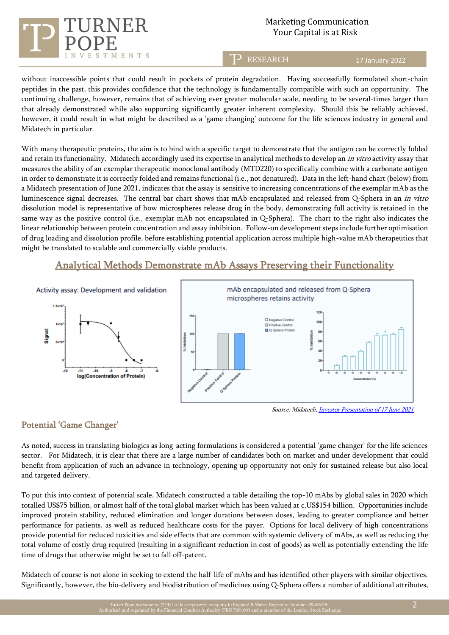# $T$ MENTS

# Marketing Communication Your Capital is at Risk

**RESEARCH** 

17 January 2022

without inaccessible points that could result in pockets of protein degradation. Having successfully formulated short-chain peptides in the past, this provides confidence that the technology is fundamentally compatible with such an opportunity. The continuing challenge, however, remains that of achieving ever greater molecular scale, needing to be several-times larger than that already demonstrated while also supporting significantly greater inherent complexity. Should this be reliably achieved, however, it could result in what might be described as a 'game changing' outcome for the life sciences industry in general and Midatech in particular.

With many therapeutic proteins, the aim is to bind with a specific target to demonstrate that the antigen can be correctly folded and retain its functionality. Midatech accordingly used its expertise in analytical methods to develop an *in vitro* activity assay that measures the ability of an exemplar therapeutic monoclonal antibody (MTD220) to specifically combine with a carbonate antigen in order to demonstrate it is correctly folded and remains functional (i.e., not denatured). Data in the left-hand chart (below) from a Midatech presentation of June 2021, indicates that the assay is sensitive to increasing concentrations of the exemplar mAb as the luminescence signal decreases. The central bar chart shows that mAb encapsulated and released from Q-Sphera in an in vitro dissolution model is representative of how microspheres release drug in the body, demonstrating full activity is retained in the same way as the positive control (i.e., exemplar mAb not encapsulated in Q-Sphera). The chart to the right also indicates the linear relationship between protein concentration and assay inhibition. Follow-on development steps include further optimisation of drug loading and dissolution profile, before establishing potential application across multiple high-value mAb therapeutics that might be translated to scalable and commercially viable products.

# Analytical Methods Demonstrate mAb Assays Preserving their Functionality



Source: Midatech[, Investor Presentation of 17 June 2021](https://www.midatechpharma.com/media/pages/investors/presentations-and-webcasts/98d47e6c68-1624952541/21.06.19-mtph-corporate-overview-june-2021.pdf)

## Potential 'Game Changer'

As noted, success in translating biologics as long-acting formulations is considered a potential 'game changer' for the life sciences sector. For Midatech, it is clear that there are a large number of candidates both on market and under development that could benefit from application of such an advance in technology, opening up opportunity not only for sustained release but also local and targeted delivery.

To put this into context of potential scale, Midatech constructed a table detailing the top-10 mAbs by global sales in 2020 which totalled US\$75 billion, or almost half of the total global market which has been valued at c.US\$154 billion. Opportunities include improved protein stability, reduced elimination and longer durations between doses, leading to greater compliance and better performance for patients, as well as reduced healthcare costs for the payer. Options for local delivery of high concentrations provide potential for reduced toxicities and side effects that are common with systemic delivery of mAbs, as well as reducing the total volume of costly drug required (resulting in a significant reduction in cost of goods) as well as potentially extending the life time of drugs that otherwise might be set to fall off-patent.

Midatech of course is not alone in seeking to extend the half-life of mAbs and has identified other players with similar objectives. Significantly, however, the bio-delivery and biodistribution of medicines using Q-Sphera offers a number of additional attributes,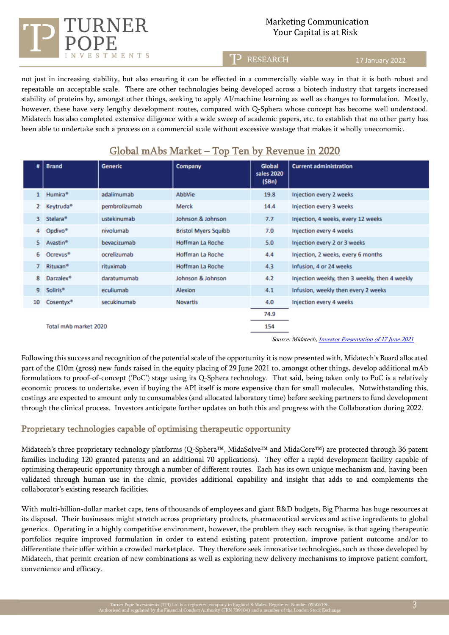## Marketing Communication Your Capital is at Risk

T) **RESEARCH** 

17 January 2022

not just in increasing stability, but also ensuring it can be effected in a commercially viable way in that it is both robust and repeatable on acceptable scale. There are other technologies being developed across a biotech industry that targets increased stability of proteins by, amongst other things, seeking to apply AI/machine learning as well as changes to formulation. Mostly, however, these have very lengthy development routes, compared with Q-Sphera whose concept has become well understood. Midatech has also completed extensive diligence with a wide sweep of academic papers, etc. to establish that no other party has been able to undertake such a process on a commercial scale without excessive wastage that makes it wholly uneconomic.

| #              | <b>Brand</b>          | <b>Generic</b> | Company                                                        | <b>Global</b>       | <b>Current administration</b>                  |
|----------------|-----------------------|----------------|----------------------------------------------------------------|---------------------|------------------------------------------------|
|                |                       |                |                                                                | sales 2020<br>(SBn) |                                                |
| 1              | Humira <sup>®</sup>   | adalimumab     | AbbVie                                                         | 19.8                | Injection every 2 weeks                        |
| 2              | Keytruda <sup>®</sup> | pembrolizumab  | Merck                                                          | 14.4                | Injection every 3 weeks                        |
| 3              | Stelara <sup>®</sup>  | ustekinumab    | Johnson & Johnson                                              | 7.7                 | Injection, 4 weeks, every 12 weeks             |
| 4              | Opdivo <sup>®</sup>   | nivolumab      | <b>Bristol Myers Squibb</b>                                    | 7.0                 | Injection every 4 weeks                        |
| 5.             | Avastin <sup>®</sup>  | bevacizumab    | Hoffman La Roche                                               | 5.0                 | Injection every 2 or 3 weeks                   |
| 6.             | Ocrevus <sup>®</sup>  | ocrelizumab    | <b>Hoffman La Roche</b>                                        | 4.4                 | Injection, 2 weeks, every 6 months             |
| $\overline{7}$ | Rituxan <sup>®</sup>  | rituximab      | Hoffman La Roche                                               | 4.3                 | Infusion, 4 or 24 weeks                        |
| 8              | Darzalex <sup>®</sup> | daratumumab    | Johnson & Johnson                                              | 4.2                 | Injection weekly, then 3 weekly, then 4 weekly |
| 9              | <b>Soliris®</b>       | eculiumab      | Alexion                                                        | 4.1                 | Infusion, weekly then every 2 weeks            |
| 10             | Cosentyx <sup>®</sup> | secukinumab    | <b>Novartis</b>                                                | 4.0                 | Injection every 4 weeks                        |
|                |                       |                |                                                                | 74.9                |                                                |
|                | Total mAb market 2020 |                |                                                                | 154                 |                                                |
|                |                       |                | Source: Midatech, <i>Investor Presentation of 17 June 2021</i> |                     |                                                |

# Global mAbs Market – Top Ten by Revenue in 2020

Following this success and recognition of the potential scale of the opportunity it is now presented with, Midatech's Board allocated part of the £10m (gross) new funds raised in the equity placing of 29 June 2021 to, amongst other things, develop additional mAb formulations to proof-of-concept ('PoC') stage using its Q-Sphera technology. That said, being taken only to PoC is a relatively economic process to undertake, even if buying the API itself is more expensive than for small molecules. Notwithstanding this, costings are expected to amount only to consumables (and allocated laboratory time) before seeking partners to fund development through the clinical process. Investors anticipate further updates on both this and progress with the Collaboration during 2022.

### Proprietary technologies capable of optimising therapeutic opportunity

TMENTS

Midatech's three proprietary technology platforms (Q-Sphera™, MidaSolve™ and MidaCore™) are protected through 36 patent families including 120 granted patents and an additional 70 applications). They offer a rapid development facility capable of optimising therapeutic opportunity through a number of different routes. Each has its own unique mechanism and, having been validated through human use in the clinic, provides additional capability and insight that adds to and complements the collaborator's existing research facilities.

With multi-billion-dollar market caps, tens of thousands of employees and giant R&D budgets, Big Pharma has huge resources at its disposal. Their businesses might stretch across proprietary products, pharmaceutical services and active ingredients to global generics. Operating in a highly competitive environment, however, the problem they each recognise, is that ageing therapeutic portfolios require improved formulation in order to extend existing patent protection, improve patient outcome and/or to differentiate their offer within a crowded marketplace. They therefore seek innovative technologies, such as those developed by Midatech, that permit creation of new combinations as well as exploring new delivery mechanisms to improve patient comfort, convenience and efficacy.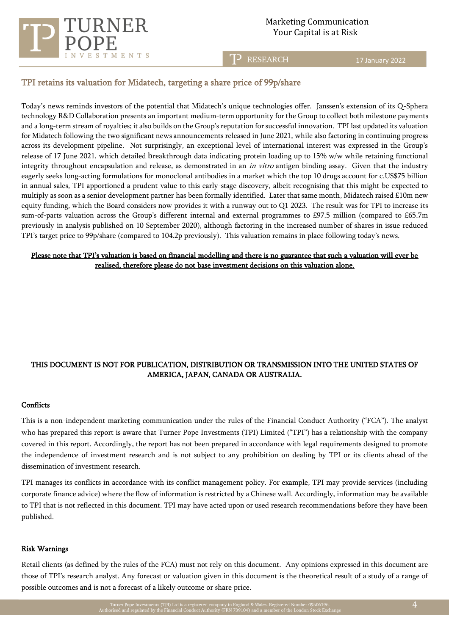

Ī

**RESEARCH** 

17 January 2022

#### TPI retains its valuation for Midatech, targeting a share price of 99p/share

Today's news reminds investors of the potential that Midatech's unique technologies offer. Janssen's extension of its Q-Sphera technology R&D Collaboration presents an important medium-term opportunity for the Group to collect both milestone payments and a long-term stream of royalties; it also builds on the Group's reputation for successful innovation. TPI last updated its valuation for Midatech following the two significant news announcements released in June 2021, while also factoring in continuing progress across its development pipeline. Not surprisingly, an exceptional level of international interest was expressed in the Group's release of 17 June 2021, which detailed breakthrough data indicating protein loading up to 15% w/w while retaining functional integrity throughout encapsulation and release, as demonstrated in an *in vitro* antigen binding assay. Given that the industry eagerly seeks long-acting formulations for monoclonal antibodies in a market which the top 10 drugs account for c.US\$75 billion in annual sales, TPI apportioned a prudent value to this early-stage discovery, albeit recognising that this might be expected to multiply as soon as a senior development partner has been formally identified. Later that same month, Midatech raised £10m new equity funding, which the Board considers now provides it with a runway out to Q1 2023. The result was for TPI to increase its sum-of-parts valuation across the Group's different internal and external programmes to £97.5 million (compared to £65.7m previously in analysis published on 10 September 2020), although factoring in the increased number of shares in issue reduced TPI's target price to 99p/share (compared to 104.2p previously). This valuation remains in place following today's news.

#### Please note that TPI's valuation is based on financial modelling and there is no guarantee that such a valuation will ever be realised, therefore please do not base investment decisions on this valuation alone.

#### THIS DOCUMENT IS NOT FOR PUBLICATION, DISTRIBUTION OR TRANSMISSION INTO THE UNITED STATES OF AMERICA, JAPAN, CANADA OR AUSTRALIA.

#### **Conflicts**

This is a non-independent marketing communication under the rules of the Financial Conduct Authority ("FCA"). The analyst who has prepared this report is aware that Turner Pope Investments (TPI) Limited ("TPI") has a relationship with the company covered in this report. Accordingly, the report has not been prepared in accordance with legal requirements designed to promote the independence of investment research and is not subject to any prohibition on dealing by TPI or its clients ahead of the dissemination of investment research.

TPI manages its conflicts in accordance with its conflict management policy. For example, TPI may provide services (including corporate finance advice) where the flow of information is restricted by a Chinese wall. Accordingly, information may be available to TPI that is not reflected in this document. TPI may have acted upon or used research recommendations before they have been published.

#### Risk Warnings

Retail clients (as defined by the rules of the FCA) must not rely on this document. Any opinions expressed in this document are those of TPI's research analyst. Any forecast or valuation given in this document is the theoretical result of a study of a range of possible outcomes and is not a forecast of a likely outcome or share price.